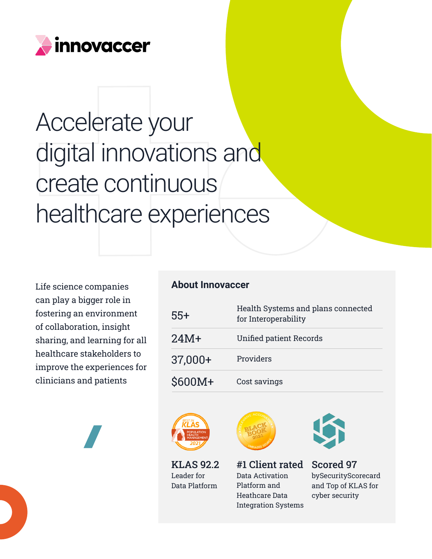

## Accelerate your digital innovations and create continuous healthcare experiences

Life science companies can play a bigger role in fostering an environment of collaboration, insight sharing, and learning for all healthcare stakeholders to improve the experiences for clinicians and patients

## **About Innovaccer**

| $55+$   | Health Systems and plans connected<br>for Interoperability |
|---------|------------------------------------------------------------|
| $24M+$  | <b>Unified patient Records</b>                             |
| 37,000+ | Providers                                                  |
| \$600M+ | Cost savings                                               |



KLAS 92.2 Leader for Data Platform



#1 Client rated Data Activation Platform and Heathcare Data Integration Systems



Scored 97 bySecurityScorecard and Top of KLAS for cyber security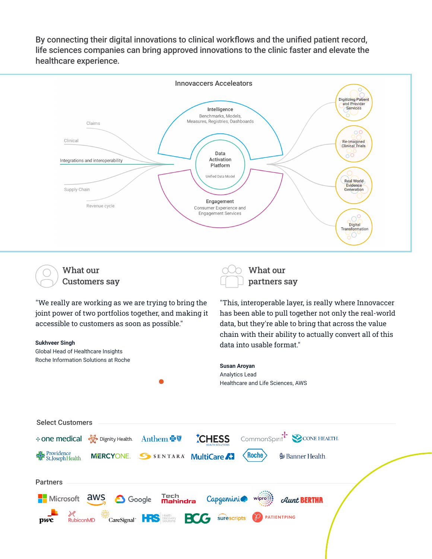By connecting their digital innovations to clinical workflows and the unified patient record, life sciences companies can bring approved innovations to the clinic faster and elevate the healthcare experience.



Customers say

What our



What our partners say

"This, interoperable layer, is really where Innovaccer has been able to pull together not only the real-world data, but they're able to bring that across the value

"We really are working as we are trying to bring the joint power of two portfolios together, and making it accessible to customers as soon as possible."